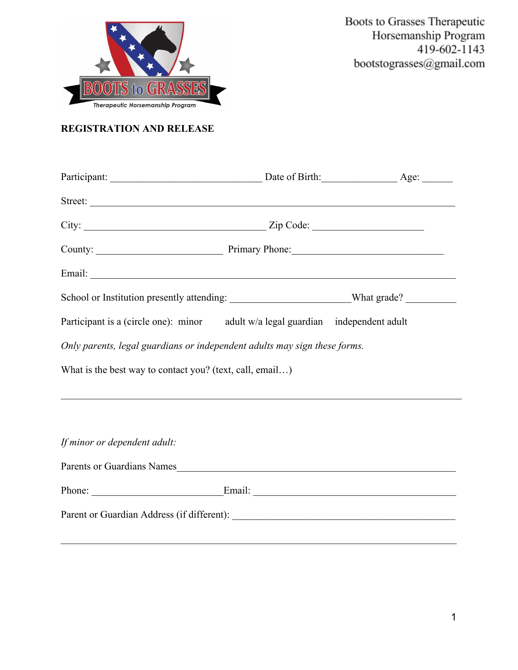

# **REGISTRATION AND RELEASE**

| Street:                                                                                              |  |  |
|------------------------------------------------------------------------------------------------------|--|--|
| $City:$ $Zip Code:$                                                                                  |  |  |
|                                                                                                      |  |  |
|                                                                                                      |  |  |
| School or Institution presently attending: ___________________________What grade? __________________ |  |  |
| Participant is a (circle one): minor adult w/a legal guardian independent adult                      |  |  |
| Only parents, legal guardians or independent adults may sign these forms.                            |  |  |
| What is the best way to contact you? (text, call, email)                                             |  |  |
| ,我们也不能在这里的时候,我们也不能在这里的时候,我们也不能在这里的时候,我们也不能会在这里的时候,我们也不能会在这里的时候,我们也不能会在这里的时候,我们也不能                    |  |  |
|                                                                                                      |  |  |
| If minor or dependent adult:                                                                         |  |  |
|                                                                                                      |  |  |
| Phone: Email: Email:                                                                                 |  |  |
|                                                                                                      |  |  |

 $\mathcal{L}_\mathcal{L} = \{ \mathcal{L}_\mathcal{L} = \{ \mathcal{L}_\mathcal{L} = \{ \mathcal{L}_\mathcal{L} = \{ \mathcal{L}_\mathcal{L} = \{ \mathcal{L}_\mathcal{L} = \{ \mathcal{L}_\mathcal{L} = \{ \mathcal{L}_\mathcal{L} = \{ \mathcal{L}_\mathcal{L} = \{ \mathcal{L}_\mathcal{L} = \{ \mathcal{L}_\mathcal{L} = \{ \mathcal{L}_\mathcal{L} = \{ \mathcal{L}_\mathcal{L} = \{ \mathcal{L}_\mathcal{L} = \{ \mathcal{L}_\mathcal{$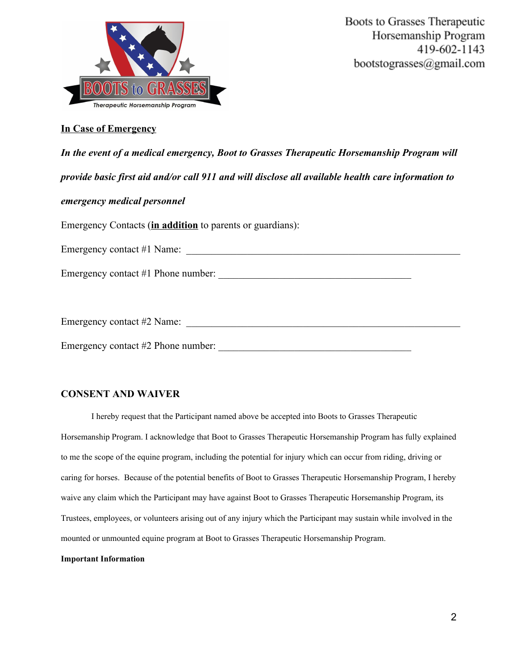

#### **In Case of Emergency**

| In the event of a medical emergency, Boot to Grasses Therapeutic Horsemanship Program will         |
|----------------------------------------------------------------------------------------------------|
| provide basic first aid and/or call 911 and will disclose all available health care information to |
| emergency medical personnel                                                                        |
| Emergency Contacts (in addition to parents or guardians):                                          |
| Emergency contact #1 Name:                                                                         |
| Emergency contact $#1$ Phone number:                                                               |
|                                                                                                    |
| Emergency contact #2 Name:                                                                         |

Emergency contact #2 Phone number:

# **CONSENT AND WAIVER**

I hereby request that the Participant named above be accepted into Boots to Grasses Therapeutic Horsemanship Program. I acknowledge that Boot to Grasses Therapeutic Horsemanship Program has fully explained to me the scope of the equine program, including the potential for injury which can occur from riding, driving or caring for horses. Because of the potential benefits of Boot to Grasses Therapeutic Horsemanship Program, I hereby waive any claim which the Participant may have against Boot to Grasses Therapeutic Horsemanship Program, its Trustees, employees, or volunteers arising out of any injury which the Participant may sustain while involved in the mounted or unmounted equine program at Boot to Grasses Therapeutic Horsemanship Program.

#### **Important Information**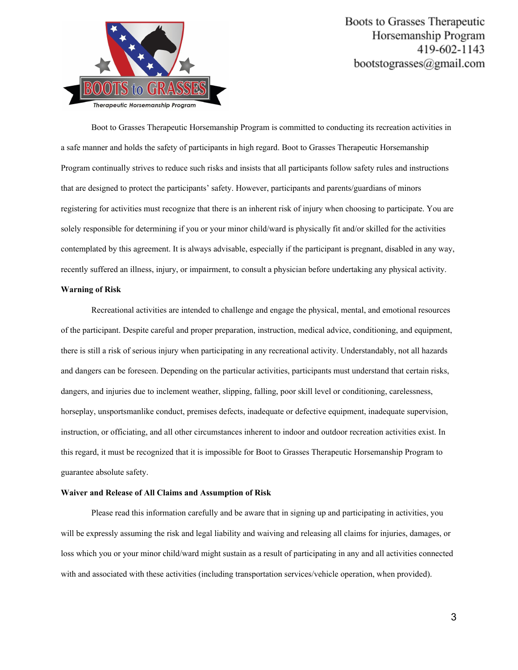

Boot to Grasses Therapeutic Horsemanship Program is committed to conducting its recreation activities in a safe manner and holds the safety of participants in high regard. Boot to Grasses Therapeutic Horsemanship Program continually strives to reduce such risks and insists that all participants follow safety rules and instructions that are designed to protect the participants' safety. However, participants and parents/guardians of minors registering for activities must recognize that there is an inherent risk of injury when choosing to participate. You are solely responsible for determining if you or your minor child/ward is physically fit and/or skilled for the activities contemplated by this agreement. It is always advisable, especially if the participant is pregnant, disabled in any way, recently suffered an illness, injury, or impairment, to consult a physician before undertaking any physical activity.

#### **Warning of Risk**

Recreational activities are intended to challenge and engage the physical, mental, and emotional resources of the participant. Despite careful and proper preparation, instruction, medical advice, conditioning, and equipment, there is still a risk of serious injury when participating in any recreational activity. Understandably, not all hazards and dangers can be foreseen. Depending on the particular activities, participants must understand that certain risks, dangers, and injuries due to inclement weather, slipping, falling, poor skill level or conditioning, carelessness, horseplay, unsportsmanlike conduct, premises defects, inadequate or defective equipment, inadequate supervision, instruction, or officiating, and all other circumstances inherent to indoor and outdoor recreation activities exist. In this regard, it must be recognized that it is impossible for Boot to Grasses Therapeutic Horsemanship Program to guarantee absolute safety.

#### **Waiver and Release of All Claims and Assumption of Risk**

Please read this information carefully and be aware that in signing up and participating in activities, you will be expressly assuming the risk and legal liability and waiving and releasing all claims for injuries, damages, or loss which you or your minor child/ward might sustain as a result of participating in any and all activities connected with and associated with these activities (including transportation services/vehicle operation, when provided).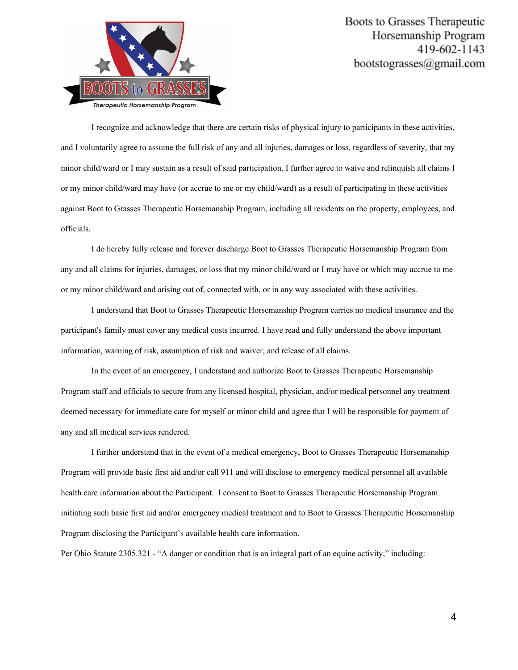

I recognize and acknowledge that there are certain risks of physical injury to participants in these activities, and I voluntarily agree to assume the full risk of any and all injuries, damages or loss, regardless of severity, that my minor child/ward or I may sustain as a result of said participation. I further agree to waive and relinquish all claims I or my minor child/ward may have (or accrue to me or my child/ward) as a result of participating in these activities against Boot to Grasses Therapeutic Horsemanship Program, including all residents on the property, employees, and officials.

I do hereby fully release and forever discharge Boot to Grasses Therapeutic Horsemanship Program from any and all claims for injuries, damages, or loss that my minor child/ward or I may have or which may accrue to me or my minor child/ward and arising out of, connected with, or in any way associated with these activities.

I understand that Boot to Grasses Therapeutic Horsemanship Program carries no medical insurance and the participant's family must cover any medical costs incurred. I have read and fully understand the above important information, warning of risk, assumption of risk and waiver, and release of all claims.

In the event of an emergency, I understand and authorize Boot to Grasses Therapeutic Horsemanship Program staff and officials to secure from any licensed hospital, physician, and/or medical personnel any treatment deemed necessary for immediate care for myself or minor child and agree that I will be responsible for payment of any and all medical services rendered.

I further understand that in the event of a medical emergency, Boot to Grasses Therapeutic Horsemanship Program will provide basic first aid and/or call 911 and will disclose to emergency medical personnel all available health care information about the Participant. I consent to Boot to Grasses Therapeutic Horsemanship Program initiating such basic first aid and/or emergency medical treatment and to Boot to Grasses Therapeutic Horsemanship Program disclosing the Participant's available health care information.

Per Ohio Statute 2305.321 - "A danger or condition that is an integral part of an equine activity," including: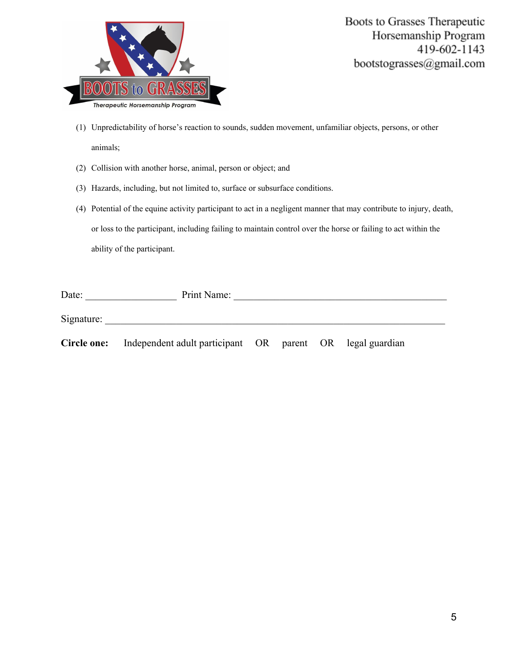

- (1) Unpredictability of horse's reaction to sounds, sudden movement, unfamiliar objects, persons, or other animals;
- (2) Collision with another horse, animal, person or object; and
- (3) Hazards, including, but not limited to, surface or subsurface conditions.
- (4) Potential of the equine activity participant to act in a negligent manner that may contribute to injury, death, or loss to the participant, including failing to maintain control over the horse or failing to act within the ability of the participant.

| Print Name:<br>Date: |                                                                              |  |  |
|----------------------|------------------------------------------------------------------------------|--|--|
| Signature:           |                                                                              |  |  |
|                      | <b>Circle one:</b> Independent adult participant OR parent OR legal guardian |  |  |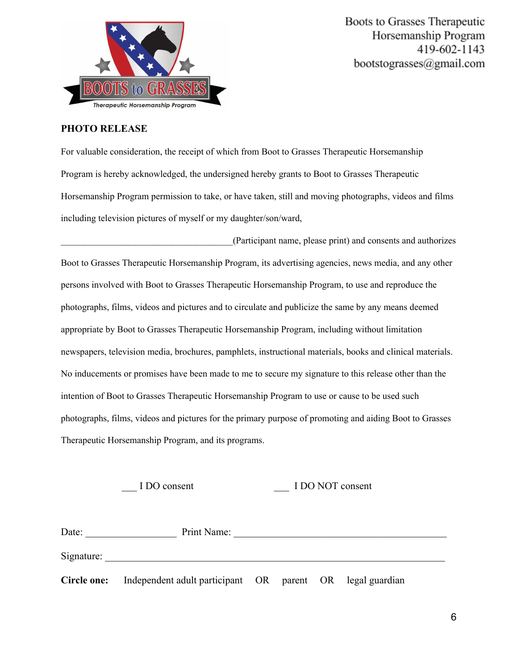

### **PHOTO RELEASE**

For valuable consideration, the receipt of which from Boot to Grasses Therapeutic Horsemanship Program is hereby acknowledged, the undersigned hereby grants to Boot to Grasses Therapeutic Horsemanship Program permission to take, or have taken, still and moving photographs, videos and films including television pictures of myself or my daughter/son/ward,

\_\_\_\_\_\_\_\_\_\_\_\_\_\_\_\_\_\_\_\_\_\_\_\_\_\_\_\_\_\_\_\_\_\_\_\_\_(Participant name, please print) and consents and authorizes Boot to Grasses Therapeutic Horsemanship Program, its advertising agencies, news media, and any other persons involved with Boot to Grasses Therapeutic Horsemanship Program, to use and reproduce the photographs, films, videos and pictures and to circulate and publicize the same by any means deemed appropriate by Boot to Grasses Therapeutic Horsemanship Program, including without limitation newspapers, television media, brochures, pamphlets, instructional materials, books and clinical materials. No inducements or promises have been made to me to secure my signature to this release other than the intention of Boot to Grasses Therapeutic Horsemanship Program to use or cause to be used such photographs, films, videos and pictures for the primary purpose of promoting and aiding Boot to Grasses Therapeutic Horsemanship Program, and its programs.

# I DO NOT consent

| Print Name:<br>Date: |                                                           |  |  |
|----------------------|-----------------------------------------------------------|--|--|
| Signature:           |                                                           |  |  |
| Circle one:          | Independent adult participant OR parent OR legal guardian |  |  |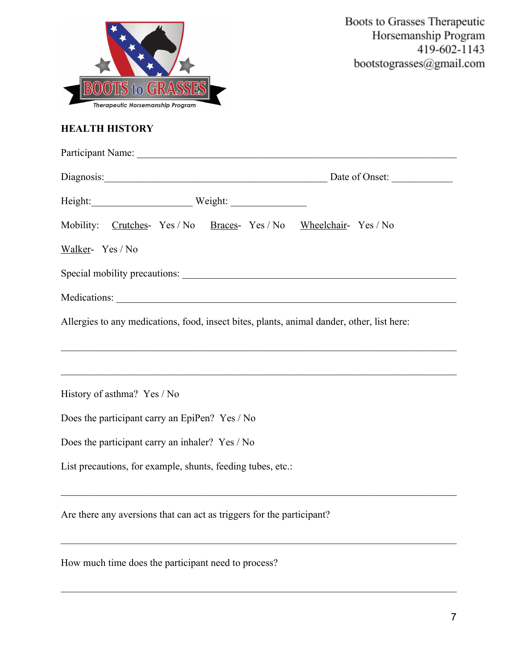| <b>Therapeutic Horsemanship Program</b>                                                                                                                                                                                        | Boots to Grasses Therapeutic<br>Horsemanship Program<br>419-602-1143<br>bootstograsses@gmail.com |
|--------------------------------------------------------------------------------------------------------------------------------------------------------------------------------------------------------------------------------|--------------------------------------------------------------------------------------------------|
| <b>HEALTH HISTORY</b>                                                                                                                                                                                                          |                                                                                                  |
|                                                                                                                                                                                                                                |                                                                                                  |
| Diagnosis: Diagnosis: Diagnosis: Diagnosis: Diagnosis: Diagnosis: Diagnosis: Diagnosis: Diagnosis: Diagnosis: Diagnosis: Diagnosis: Diagnosis: Diagnosis: Diagnosis: Diagnosis: Diagnosis: Diagnosis: Diagnosis: Diagnosis: Di |                                                                                                  |
| Height: Weight: Weight:                                                                                                                                                                                                        |                                                                                                  |
| Mobility: Crutches- Yes / No Braces- Yes / No Wheelchair- Yes / No                                                                                                                                                             |                                                                                                  |
| Walker-Yes / No                                                                                                                                                                                                                |                                                                                                  |
|                                                                                                                                                                                                                                |                                                                                                  |
|                                                                                                                                                                                                                                |                                                                                                  |
| Allergies to any medications, food, insect bites, plants, animal dander, other, list here:                                                                                                                                     |                                                                                                  |
|                                                                                                                                                                                                                                |                                                                                                  |
| History of asthma? Yes / No                                                                                                                                                                                                    |                                                                                                  |
| Does the participant carry an EpiPen? Yes / No                                                                                                                                                                                 |                                                                                                  |
| Does the participant carry an inhaler? Yes / No                                                                                                                                                                                |                                                                                                  |
| List precautions, for example, shunts, feeding tubes, etc.:                                                                                                                                                                    |                                                                                                  |
| Are there any aversions that can act as triggers for the participant?                                                                                                                                                          |                                                                                                  |

 $\mathcal{L}_\mathcal{L} = \{ \mathcal{L}_\mathcal{L} = \{ \mathcal{L}_\mathcal{L} = \{ \mathcal{L}_\mathcal{L} = \{ \mathcal{L}_\mathcal{L} = \{ \mathcal{L}_\mathcal{L} = \{ \mathcal{L}_\mathcal{L} = \{ \mathcal{L}_\mathcal{L} = \{ \mathcal{L}_\mathcal{L} = \{ \mathcal{L}_\mathcal{L} = \{ \mathcal{L}_\mathcal{L} = \{ \mathcal{L}_\mathcal{L} = \{ \mathcal{L}_\mathcal{L} = \{ \mathcal{L}_\mathcal{L} = \{ \mathcal{L}_\mathcal{$ 

 $\mathcal{L}_\mathcal{L} = \{ \mathcal{L}_\mathcal{L} = \{ \mathcal{L}_\mathcal{L} = \{ \mathcal{L}_\mathcal{L} = \{ \mathcal{L}_\mathcal{L} = \{ \mathcal{L}_\mathcal{L} = \{ \mathcal{L}_\mathcal{L} = \{ \mathcal{L}_\mathcal{L} = \{ \mathcal{L}_\mathcal{L} = \{ \mathcal{L}_\mathcal{L} = \{ \mathcal{L}_\mathcal{L} = \{ \mathcal{L}_\mathcal{L} = \{ \mathcal{L}_\mathcal{L} = \{ \mathcal{L}_\mathcal{L} = \{ \mathcal{L}_\mathcal{$ 

How much time does the participant need to process?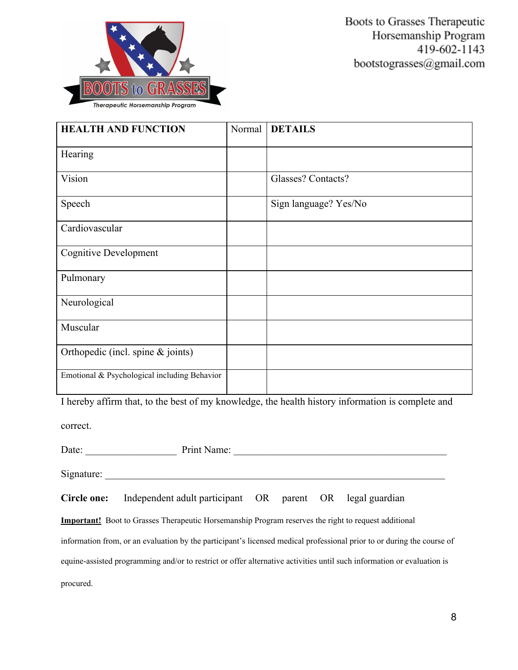

| <b>HEALTH AND FUNCTION</b>                   | Normal | <b>DETAILS</b>                                                                                    |
|----------------------------------------------|--------|---------------------------------------------------------------------------------------------------|
| Hearing                                      |        |                                                                                                   |
| Vision                                       |        | Glasses? Contacts?                                                                                |
| Speech                                       |        | Sign language? Yes/No                                                                             |
| Cardiovascular                               |        |                                                                                                   |
| <b>Cognitive Development</b>                 |        |                                                                                                   |
| Pulmonary                                    |        |                                                                                                   |
| Neurological                                 |        |                                                                                                   |
| Muscular                                     |        |                                                                                                   |
| Orthopedic (incl. spine $&$ joints)          |        |                                                                                                   |
| Emotional & Psychological including Behavior |        |                                                                                                   |
|                                              |        | I hereby affirm that, to the best of my knowledge, the health history information is complete and |

correct.

| Date:       | Print Name:                                                                                                            |  |  |
|-------------|------------------------------------------------------------------------------------------------------------------------|--|--|
| Signature:  |                                                                                                                        |  |  |
| Circle one: | Independent adult participant OR parent OR legal guardian                                                              |  |  |
|             | <b>Important!</b> Boot to Grasses Therapeutic Horsemanship Program reserves the right to request additional            |  |  |
|             | information from, or an evaluation by the participant's licensed medical professional prior to or during the course of |  |  |
|             | equine-assisted programming and/or to restrict or offer alternative activities until such information or evaluation is |  |  |
| procured.   |                                                                                                                        |  |  |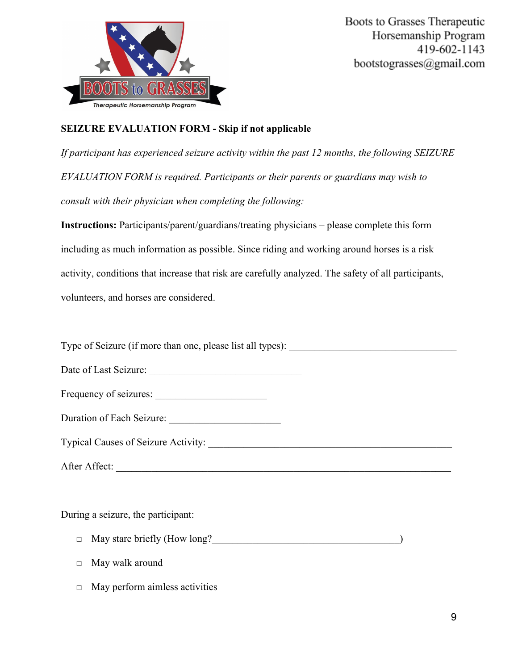

# **SEIZURE EVALUATION FORM - Skip if not applicable**

*If participant has experienced seizure activity within the past 12 months, the following SEIZURE EVALUATION FORM is required. Participants or their parents or guardians may wish to consult with their physician when completing the following:*

**Instructions:** Participants/parent/guardians/treating physicians – please complete this form including as much information as possible. Since riding and working around horses is a risk activity, conditions that increase that risk are carefully analyzed. The safety of all participants, volunteers, and horses are considered.

Type of Seizure (if more than one, please list all types):

| Frequency of seizures: |  |
|------------------------|--|
|                        |  |

Typical Causes of Seizure Activity:

| After Affect: |  |
|---------------|--|
|               |  |

During a seizure, the participant:

- □ May stare briefly (How long?
- □ May walk around
- $\Box$  May perform aimless activities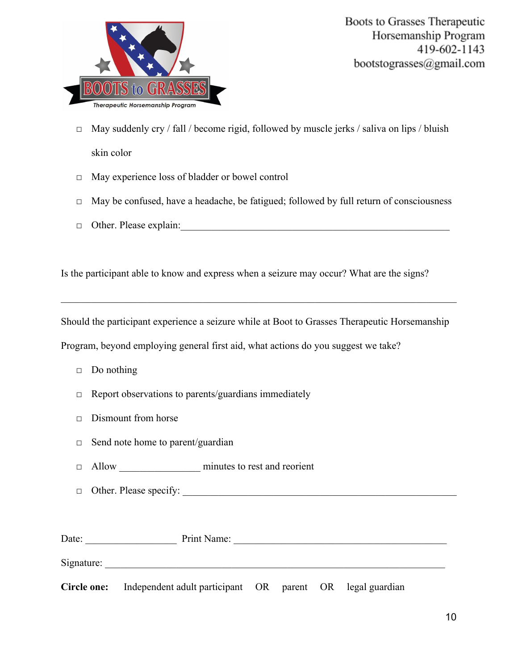

- $\Box$  May suddenly cry / fall / become rigid, followed by muscle jerks / saliva on lips / bluish skin color
- □ May experience loss of bladder or bowel control
- □ May be confused, have a headache, be fatigued; followed by full return of consciousness
- $\Box$  Other. Please explain:

Is the participant able to know and express when a seizure may occur? What are the signs?

Should the participant experience a seizure while at Boot to Grasses Therapeutic Horsemanship

 $\mathcal{L}_\mathcal{L} = \{ \mathcal{L}_\mathcal{L} = \{ \mathcal{L}_\mathcal{L} = \{ \mathcal{L}_\mathcal{L} = \{ \mathcal{L}_\mathcal{L} = \{ \mathcal{L}_\mathcal{L} = \{ \mathcal{L}_\mathcal{L} = \{ \mathcal{L}_\mathcal{L} = \{ \mathcal{L}_\mathcal{L} = \{ \mathcal{L}_\mathcal{L} = \{ \mathcal{L}_\mathcal{L} = \{ \mathcal{L}_\mathcal{L} = \{ \mathcal{L}_\mathcal{L} = \{ \mathcal{L}_\mathcal{L} = \{ \mathcal{L}_\mathcal{$ 

Program, beyond employing general first aid, what actions do you suggest we take?

- $\Box$  Do nothing
- $\Box$  Report observations to parents/guardians immediately
- □ Dismount from horse
- □ Send note home to parent/guardian
- □ Allow \_\_\_\_\_\_\_\_\_\_\_\_\_\_\_\_ minutes to rest and reorient
- $\Box$  Other. Please specify:

| Date:       | Print Name:                                               |  |  |  |
|-------------|-----------------------------------------------------------|--|--|--|
| Signature:  |                                                           |  |  |  |
| Circle one: | Independent adult participant OR parent OR legal guardian |  |  |  |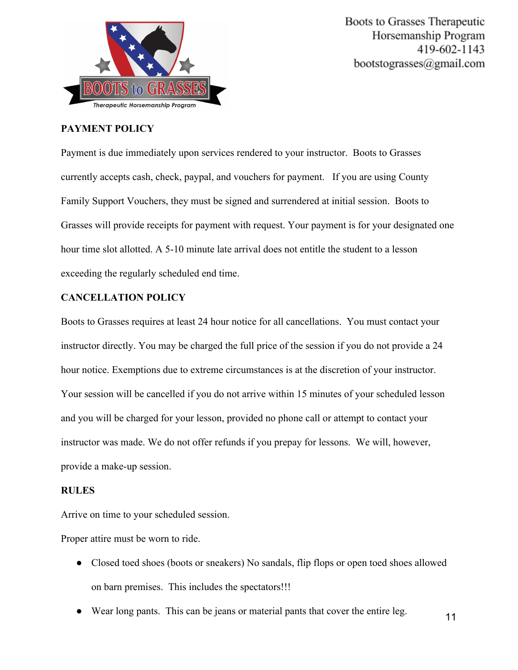

## **PAYMENT POLICY**

Payment is due immediately upon services rendered to your instructor. Boots to Grasses currently accepts cash, check, paypal, and vouchers for payment. If you are using County Family Support Vouchers, they must be signed and surrendered at initial session. Boots to Grasses will provide receipts for payment with request. Your payment is for your designated one hour time slot allotted. A 5-10 minute late arrival does not entitle the student to a lesson exceeding the regularly scheduled end time.

## **CANCELLATION POLICY**

Boots to Grasses requires at least 24 hour notice for all cancellations. You must contact your instructor directly. You may be charged the full price of the session if you do not provide a 24 hour notice. Exemptions due to extreme circumstances is at the discretion of your instructor. Your session will be cancelled if you do not arrive within 15 minutes of your scheduled lesson and you will be charged for your lesson, provided no phone call or attempt to contact your instructor was made. We do not offer refunds if you prepay for lessons. We will, however, provide a make-up session.

## **RULES**

Arrive on time to your scheduled session.

Proper attire must be worn to ride.

- Closed toed shoes (boots or sneakers) No sandals, flip flops or open toed shoes allowed on barn premises. This includes the spectators!!!
- Wear long pants. This can be jeans or material pants that cover the entire leg. 11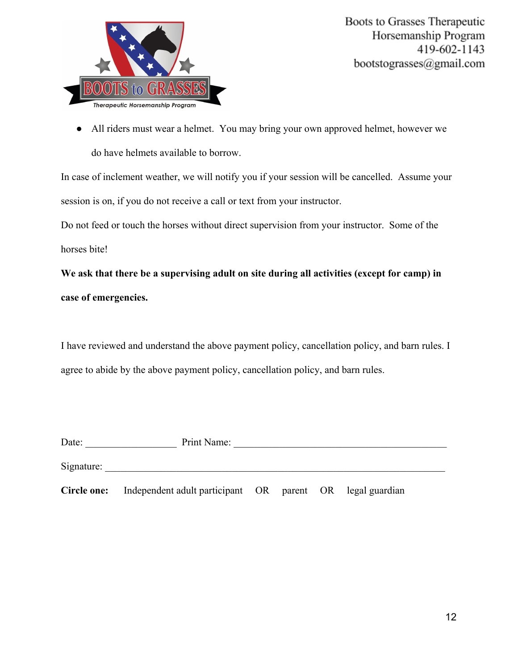

● All riders must wear a helmet. You may bring your own approved helmet, however we do have helmets available to borrow.

In case of inclement weather, we will notify you if your session will be cancelled. Assume your session is on, if you do not receive a call or text from your instructor.

Do not feed or touch the horses without direct supervision from your instructor. Some of the horses bite!

**We ask that there be a supervising adult on site during all activities (except for camp) in case of emergencies.**

I have reviewed and understand the above payment policy, cancellation policy, and barn rules. I agree to abide by the above payment policy, cancellation policy, and barn rules.

| Date:       | Print Name:                      |  |                          |
|-------------|----------------------------------|--|--------------------------|
| Signature:  |                                  |  |                          |
| Circle one: | Independent adult participant OR |  | parent OR legal guardian |